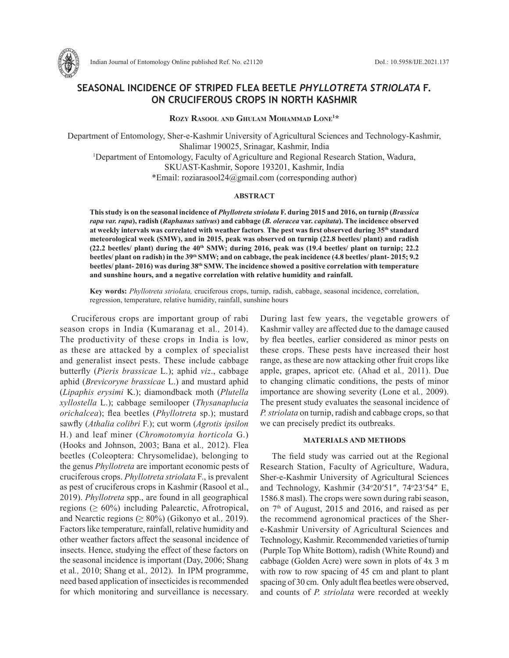

Indian Journal of Entomology Online published Ref. No. e21120 DoI.: 10.5958/IJE.2021.137

# **SEASONAL INCIDENCE OF STRIPED FLEA BEETLE** *PHYLLOTRETA STRIOLATA* **F. ON CRUCIFEROUS CROPS IN NORTH KASHMIR**

**Rozy Rasool and Ghulam Mohammad Lone1 \***

Department of Entomology, Sher-e-Kashmir University of Agricultural Sciences and Technology-Kashmir, Shalimar 190025, Srinagar, Kashmir, India 1 Department of Entomology, Faculty of Agriculture and Regional Research Station, Wadura, SKUAST-Kashmir, Sopore 193201, Kashmir, India \*Email: roziarasool24@gmail.com (corresponding author)

# **ABSTRACT**

**This study is on the seasonal incidence of** *Phyllotreta striolata* **F. during 2015 and 2016, on turnip (***Brassica rapa var. rapa***), radish (***Raphanus sativus***) and cabbage (***B. oleracea* **var.** *capitata***). The incidence observed at weekly intervals was correlated with weather factors***.* **The pest was first observed during 35th standard meteorological week (SMW), and in 2015, peak was observed on turnip (22.8 beetles/ plant) and radish**   $(22.2 \text{ beetles/ plant})$  during the  $40<sup>th</sup>$  SMW; during 2016, peak was  $(19.4 \text{ beetles/ plant on turnip}; 22.2 \text{ hours})$ **beetles/ plant on radish) in the 39th SMW; and on cabbage, the peak incidence (4.8 beetles/ plant- 2015; 9.2 beetles/ plant- 2016) was during 38th SMW. The incidence showed a positive correlation with temperature and sunshine hours, and a negative correlation with relative humidity and rainfall.** 

**Key words:** *Phyllotreta striolata,* cruciferous crops, turnip, radish, cabbage, seasonal incidence, correlation, regression, temperature, relative humidity, rainfall, sunshine hours

Cruciferous crops are important group of rabi season crops in India (Kumaranag et al*.,* 2014). The productivity of these crops in India is low, as these are attacked by a complex of specialist and generalist insect pests. These include cabbage butterfly (*Pieris brassicae* L.); aphid *viz*., cabbage aphid (*Brevicoryne brassicae* L.) and mustard aphid (*Lipaphis erysimi* K.); diamondback moth (*Plutella xyllostella* L.); cabbage semilooper (*Thysanaplucia orichalcea*); flea beetles (*Phyllotreta* sp.); mustard sawfly (*Athalia colibri* F.); cut worm (*Agrotis ipsilon*  H.) and leaf miner (*Chromotomyia horticola* G.) (Hooks and Johnson, 2003; Bana et al*.,* 2012). Flea beetles (Coleoptera: Chrysomelidae), belonging to the genus *Phyllotreta* are important economic pests of cruciferous crops. *Phyllotreta striolata* F., is prevalent as pest of cruciferous crops in Kashmir (Rasool et al., 2019). *Phyllotreta* spp., are found in all geographical regions ( $\geq 60\%$ ) including Palearctic, Afrotropical, and Nearctic regions  $(≥ 80%)$  (Gikonyo et al., 2019). Factors like temperature, rainfall, relative humidity and other weather factors affect the seasonal incidence of insects. Hence, studying the effect of these factors on the seasonal incidence is important (Day, 2006; Shang et al*.,* 2010; Shang et al*.,* 2012). In IPM programme, need based application of insecticides is recommended for which monitoring and surveillance is necessary. During last few years, the vegetable growers of Kashmir valley are affected due to the damage caused by flea beetles, earlier considered as minor pests on these crops. These pests have increased their host range, as these are now attacking other fruit crops like apple, grapes, apricot etc. (Ahad et al*.,* 2011). Due to changing climatic conditions, the pests of minor importance are showing severity (Lone et al*.,* 2009). The present study evaluates the seasonal incidence of *P. striolata* on turnip, radish and cabbage crops, so that we can precisely predict its outbreaks.

## **MATERIALS AND METHODS**

The field study was carried out at the Regional Research Station, Faculty of Agriculture, Wadura, Sher-e-Kashmir University of Agricultural Sciences and Technology, Kashmir (34°20'51", 74°23'54" E, 1586.8 masl). The crops were sown during rabi season, on  $7<sup>th</sup>$  of August, 2015 and 2016, and raised as per the recommend agronomical practices of the Shere-Kashmir University of Agricultural Sciences and Technology, Kashmir. Recommended varieties of turnip (Purple Top White Bottom), radish (White Round) and cabbage (Golden Acre) were sown in plots of 4x 3 m with row to row spacing of 45 cm and plant to plant spacing of 30 cm. Only adult flea beetles were observed, and counts of *P. striolata* were recorded at weekly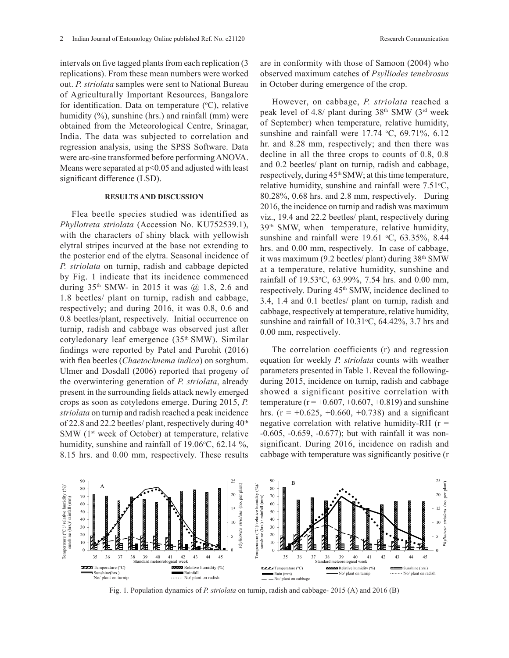intervals on five tagged plants from each replication (3 replications). From these mean numbers were worked out. *P. striolata* samples were sent to National Bureau of Agriculturally Important Resources, Bangalore for identification. Data on temperature  $(°C)$ , relative humidity  $(\%)$ , sunshine (hrs.) and rainfall (mm) were obtained from the Meteorological Centre, Srinagar, India. The data was subjected to correlation and regression analysis, using the SPSS Software. Data were arc-sine transformed before performing ANOVA. Means were separated at  $p<0.05$  and adjusted with least significant difference (LSD).

#### **RESULTS AND DISCUSSION**

Flea beetle species studied was identified as *Phyllotreta striolata* (Accession No. KU752539.1), with the characters of shiny black with yellowish elytral stripes incurved at the base not extending to the posterior end of the elytra. Seasonal incidence of *P. striolata* on turnip, radish and cabbage depicted by Fig. 1 indicate that its incidence commenced during  $35<sup>th</sup>$  SMW- in 2015 it was  $@$  1.8, 2.6 and 1.8 beetles/ plant on turnip, radish and cabbage, respectively; and during 2016, it was 0.8, 0.6 and 0.8 beetles/plant, respectively. Initial occurrence on turnip, radish and cabbage was observed just after cotyledonary leaf emergence (35th SMW). Similar findings were reported by Patel and Purohit (2016) with flea beetles (*Chaetochnema indica*) on sorghum. Ulmer and Dosdall (2006) reported that progeny of the overwintering generation of *P. striolata*, already present in the surrounding fields attack newly emerged crops as soon as cotyledons emerge. During 2015, *P. striolata* on turnip and radish reached a peak incidence of 22.8 and 22.2 beetles/ plant, respectively during  $40<sup>th</sup>$ SMW  $(1<sup>st</sup> week of October)$  at temperature, relative humidity, sunshine and rainfall of  $19.06^{\circ}$ C, 62.14 %, 8.15 hrs. and 0.00 mm, respectively. These results

are in conformity with those of Samoon (2004) who observed maximum catches of *Psylliodes tenebrosus*  in October during emergence of the crop.

However, on cabbage, *P. striolata* reached a peak level of 4.8/ plant during  $38<sup>th</sup>$  SMW ( $3<sup>rd</sup>$  week of September) when temperature, relative humidity, sunshine and rainfall were  $17.74 \text{ °C}$ ,  $69.71\%$ ,  $6.12$ hr. and 8.28 mm, respectively; and then there was decline in all the three crops to counts of 0.8, 0.8 and 0.2 beetles/ plant on turnip, radish and cabbage, respectively, during  $45<sup>th</sup> SMW$ ; at this time temperature, relative humidity, sunshine and rainfall were  $7.51\textdegree C$ , 80.28%, 0.68 hrs. and 2.8 mm, respectively. During 2016, the incidence on turnip and radish was maximum viz., 19.4 and 22.2 beetles/ plant, respectively during 39th SMW, when temperature, relative humidity, sunshine and rainfall were  $19.61 \text{ °C}$ ,  $63.35\%$ ,  $8.44$ hrs. and 0.00 mm, respectively. In case of cabbage, it was maximum (9.2 beetles/ plant) during  $38<sup>th</sup>$  SMW at a temperature, relative humidity, sunshine and rainfall of 19.53°C, 63.99%, 7.54 hrs. and 0.00 mm, respectively. During 45<sup>th</sup> SMW, incidence declined to 3.4, 1.4 and 0.1 beetles/ plant on turnip, radish and cabbage, respectively at temperature, relative humidity, sunshine and rainfall of  $10.31^{\circ}$ C, 64.42%, 3.7 hrs and 0.00 mm, respectively.

The correlation coefficients (r) and regression equation for weekly *P. striolata* counts with weather parameters presented in Table 1. Reveal the followingduring 2015, incidence on turnip, radish and cabbage showed a significant positive correlation with temperature ( $r = +0.607, +0.607, +0.819$ ) and sunshine hrs. ( $r = +0.625, +0.660, +0.738$ ) and a significant negative correlation with relative humidity-RH  $(r =$ -0.605, -0.659, -0.677); but with rainfall it was nonsignificant. During 2016, incidence on radish and cabbage with temperature was significantly positive (r



Fig. 1. Population dynamics of *P. striolata* on turnip, radish and cabbage- 2015 (A) and 2016 (B)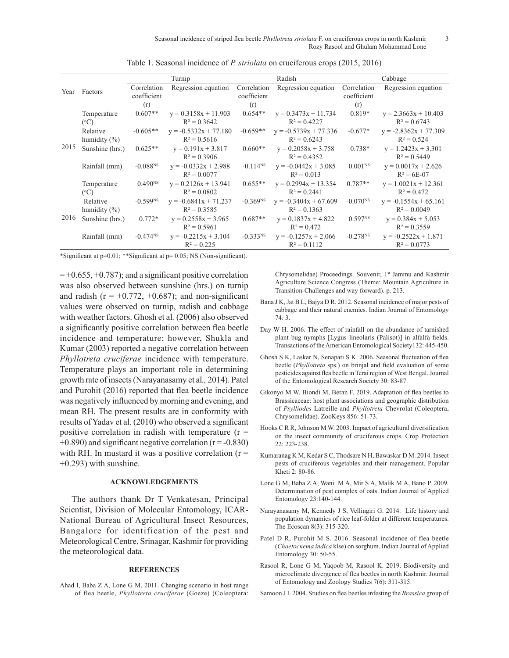|      | Factors          | Turnip                 |                         | Radish        |                         | Cabbage             |                         |
|------|------------------|------------------------|-------------------------|---------------|-------------------------|---------------------|-------------------------|
| Year |                  | Correlation            | Regression equation     | Correlation   | Regression equation     | Correlation         | Regression equation     |
|      |                  | coefficient            |                         | coefficient   |                         | coefficient         |                         |
|      |                  | (r)                    |                         | (r)           |                         | (r)                 |                         |
| 2015 | Temperature      | $0.607**$              | $y = 0.3158x + 11.903$  | $0.654**$     | $y = 0.3473x + 11.734$  | $0.819*$            | $y = 2.3663x + 10.403$  |
|      | $(^{\circ}C)$    |                        | $R^2 = 0.3642$          |               | $R^2 = 0.4227$          |                     | $R^2 = 0.6743$          |
|      | Relative         | $-0.605**$             | $y = -0.5332x + 77.180$ | $-0.659**$    | $y = -0.5739x + 77.336$ | $-0.677*$           | $y = -2.8362x + 77.309$ |
|      | humidity $(\% )$ |                        | $R^2 = 0.5616$          |               | $R^2 = 0.6243$          |                     | $R^2 = 0.524$           |
|      | Sunshine (hrs.)  | $0.625**$              | $y = 0.191x + 3.817$    | $0.660**$     | $y = 0.2058x + 3.758$   | $0.738*$            | $y = 1.2423x + 3.301$   |
|      |                  |                        | $R^2 = 0.3906$          |               | $R^2 = 0.4352$          |                     | $R^2 = 0.5449$          |
|      | Rainfall (mm)    | $-0.088N$              | $y = -0.0332x + 2.988$  | $-0.114^{NS}$ | $y = -0.0442x + 3.085$  | 0.001 <sup>NS</sup> | $y = 0.0017x + 2.626$   |
|      |                  |                        | $R^2 = 0.0077$          |               | $R^2 = 0.013$           |                     | $R^2 = 6E - 07$         |
| 2016 | Temperature      | $0.490^{NS}$           | $y = 0.2126x + 13.941$  | $0.655**$     | $y = 0.2994x + 13.354$  | $0.787**$           | $y = 1.0021x + 12.361$  |
|      | $(^{\circ}C)$    |                        | $R^2 = 0.0802$          |               | $R^2 = 0.2441$          |                     | $R^2 = 0.472$           |
|      | Relative         | $-0.599$ <sup>NS</sup> | $y = -0.6841x + 71.237$ | $-0.369NS$    | $y = -0.3404x + 67.609$ | $-0.070^{NS}$       | $y = -0.1554x + 65.161$ |
|      | humidity $(\%)$  |                        | $R^2 = 0.3585$          |               | $R^2 = 0.1363$          |                     | $R^2 = 0.0049$          |
|      | Sunshine (hrs.)  | $0.772*$               | $y = 0.2558x + 3.965$   | $0.687**$     | $y = 0.1837x + 4.822$   | 0.597 <sup>NS</sup> | $y = 0.384x + 5.053$    |
|      |                  |                        | $R^2 = 0.5961$          |               | $R^2 = 0.472$           |                     | $R^2 = 0.3559$          |
|      | Rainfall (mm)    | $-0.474^{NS}$          | $y = -0.2215x + 3.104$  | $-0.333^{NS}$ | $y = -0.1257x + 2.066$  | $-0.278^{NS}$       | $y = -0.2522x + 1.871$  |
|      |                  |                        | $R^2 = 0.225$           |               | $R^2 = 0.1112$          |                     | $R^2 = 0.0773$          |

Table 1. Seasonal incidence of *P. striolata* on cruciferous crops (2015, 2016)

\*Significant at p=0.01; \*\*Significant at p= 0.05; NS (Non-significant).

 $= +0.655, +0.787$ ; and a significant positive correlation was also observed between sunshine (hrs.) on turnip and radish ( $r = +0.772, +0.687$ ); and non-significant values were observed on turnip, radish and cabbage with weather factors. Ghosh et al*.* (2006) also observed a significantly positive correlation between flea beetle incidence and temperature; however, Shukla and Kumar (2003) reported a negative correlation between *Phyllotreta cruciferae* incidence with temperature. Temperature plays an important role in determining growth rate of insects (Narayanasamy et al*.,* 2014). Patel and Purohit (2016) reported that flea beetle incidence was negatively influenced by morning and evening, and mean RH. The present results are in conformity with results of Yadav et al*.* (2010) who observed a significant positive correlation in radish with temperature  $(r =$  $+0.890$ ) and significant negative correlation ( $r = -0.830$ ) with RH. In mustard it was a positive correlation  $(r =$  $+0.293$ ) with sunshine.

## **ACKNOWLEDGEMENTS**

The authors thank Dr T Venkatesan, Principal Scientist, Division of Molecular Entomology, ICAR-National Bureau of Agricultural Insect Resources, Bangalore for identification of the pest and Meteorological Centre, Srinagar, Kashmir for providing the meteorological data.

### **REFERENCES**

Ahad I, Baba Z A, Lone G M. 2011. Changing scenario in host range of flea beetle, *Phyllotreta cruciferae* (Goeze) (Coleoptera:

Chrysomelidae) Proceedings. Souvenir, 1<sup>st</sup> Jammu and Kashmir Agriculture Science Congress (Theme: Mountain Agriculture in Transition-Challenges and way forward). p. 213.

- Bana J K, Jat B L, Bajya D R. 2012. Seasonal incidence of major pests of cabbage and their natural enemies. Indian Journal of Entomology  $74.3$
- Day W H. 2006. The effect of rainfall on the abundance of tarnished plant bug nymphs [Lygus lineolaris (Palisot)] in alfalfa fields. Transactions of the American Entomological Society132: 445-450.
- Ghosh S K, Laskar N, Senapati S K. 2006. Seasonal fluctuation of flea beetle (*Phyllotreta* sps.) on brinjal and field evaluation of some pesticides against flea beetle in Terai region of West Bengal. Journal of the Entomological Research Society 30: 83-87.
- Gikonyo M W, Biondi M, Beran F. 2019. Adaptation of flea beetles to Brassicaceae: host plant associations and geographic distribution of *Psylliodes* Latreille and *Phyllotreta* Chevrolat (Coleoptera, Chrysomelidae). ZooKeys 856: 51-73.
- Hooks C R R, Johnson M W. 2003. Impact of agricultural diversification on the insect community of cruciferous crops. Crop Protection 22: 223-238.
- Kumaranag K M, Kedar S C, Thodsare N H, Bawaskar D M. 2014. Insect pests of cruciferous vegetables and their management. Popular Kheti 2: 80-86.
- Lone G M, Baba Z A, Wani M A, Mir S A, Malik M A, Bano P. 2009. Determination of pest complex of oats. Indian Journal of Applied Entomology 23:140-144.
- Narayanasamy M, Kennedy J S, Vellingiri G. 2014. Life history and population dynamics of rice leaf-folder at different temperatures. The Ecoscan 8(3): 315-320.
- Patel D R, Purohit M S. 2016. Seasonal incidence of flea beetle (*Chaetocnema indica* klse) on sorghum. Indian Journal of Applied Entomology 30: 50-55.
- Rasool R, Lone G M, Yaqoob M, Rasool K. 2019. Biodiversity and microclimate divergence of flea beetles in north Kashmir. Journal of Entomology and Zoology Studies 7(6): 311-315.

Samoon J I. 2004. Studies on flea beetles infesting the *Brassica* group of